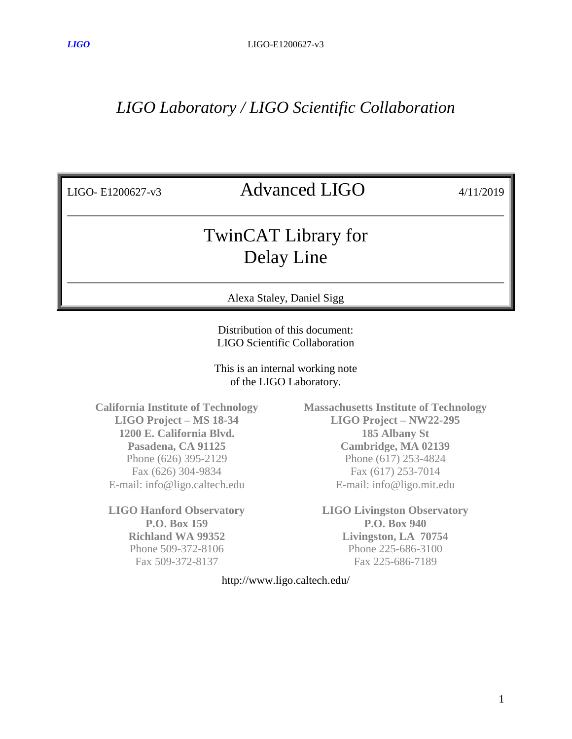## *LIGO Laboratory / LIGO Scientific Collaboration*

## LIGO- E1200627-v3 Advanced LIGO 4/11/2019

## TwinCAT Library for Delay Line

Alexa Staley, Daniel Sigg

Distribution of this document: LIGO Scientific Collaboration

This is an internal working note of the LIGO Laboratory.

**California Institute of Technology LIGO Project – MS 18-34 1200 E. California Blvd. Pasadena, CA 91125** Phone (626) 395-2129 Fax (626) 304-9834 E-mail: info@ligo.caltech.edu

**LIGO Hanford Observatory P.O. Box 159 Richland WA 99352** Phone 509-372-8106 Fax 509-372-8137

**Massachusetts Institute of Technology LIGO Project – NW22-295 185 Albany St Cambridge, MA 02139** Phone (617) 253-4824 Fax (617) 253-7014 E-mail: info@ligo.mit.edu

**LIGO Livingston Observatory P.O. Box 940 Livingston, LA 70754** Phone 225-686-3100 Fax 225-686-7189

http://www.ligo.caltech.edu/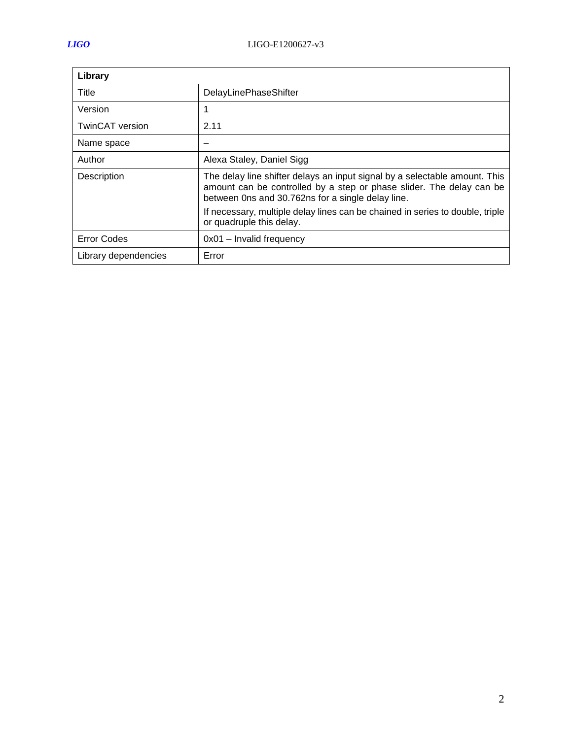| Library                |                                                                                                                                                                                                         |
|------------------------|---------------------------------------------------------------------------------------------------------------------------------------------------------------------------------------------------------|
| Title                  | DelayLinePhaseShifter                                                                                                                                                                                   |
| Version                | 1                                                                                                                                                                                                       |
| <b>TwinCAT</b> version | 2.11                                                                                                                                                                                                    |
| Name space             |                                                                                                                                                                                                         |
| Author                 | Alexa Staley, Daniel Sigg                                                                                                                                                                               |
| Description            | The delay line shifter delays an input signal by a selectable amount. This<br>amount can be controlled by a step or phase slider. The delay can be<br>between 0ns and 30.762ns for a single delay line. |
|                        | If necessary, multiple delay lines can be chained in series to double, triple<br>or quadruple this delay.                                                                                               |
| <b>Error Codes</b>     | $0x01 -$ Invalid frequency                                                                                                                                                                              |
| Library dependencies   | Error                                                                                                                                                                                                   |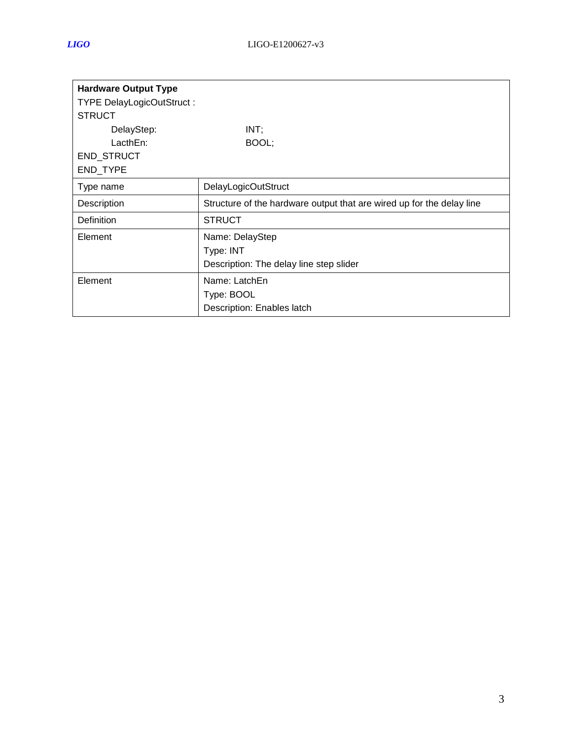| <b>Hardware Output Type</b>      |                                                                       |
|----------------------------------|-----------------------------------------------------------------------|
| <b>TYPE DelayLogicOutStruct:</b> |                                                                       |
| <b>STRUCT</b>                    |                                                                       |
| DelayStep:                       | INT;                                                                  |
| LacthEn:                         | BOOL;                                                                 |
| END_STRUCT                       |                                                                       |
| END_TYPE                         |                                                                       |
| Type name                        | DelayLogicOutStruct                                                   |
| Description                      | Structure of the hardware output that are wired up for the delay line |
| Definition                       | <b>STRUCT</b>                                                         |
| Element                          | Name: DelayStep                                                       |
|                                  | Type: INT                                                             |
|                                  | Description: The delay line step slider                               |
| Element                          | Name: LatchEn                                                         |
|                                  | Type: BOOL                                                            |
|                                  | Description: Enables latch                                            |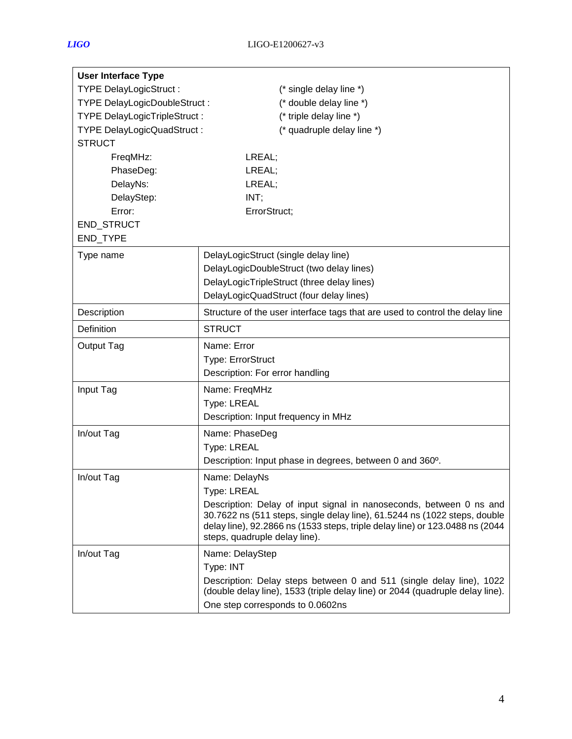| <b>User Interface Type</b>          |                                                                                                                                                                                                                                                                   |
|-------------------------------------|-------------------------------------------------------------------------------------------------------------------------------------------------------------------------------------------------------------------------------------------------------------------|
| <b>TYPE DelayLogicStruct:</b>       | (* single delay line *)                                                                                                                                                                                                                                           |
| TYPE DelayLogicDoubleStruct:        | (* double delay line *)                                                                                                                                                                                                                                           |
| <b>TYPE DelayLogicTripleStruct:</b> | (* triple delay line *)                                                                                                                                                                                                                                           |
| <b>TYPE DelayLogicQuadStruct:</b>   | (* quadruple delay line *)                                                                                                                                                                                                                                        |
| <b>STRUCT</b>                       |                                                                                                                                                                                                                                                                   |
| FreqMHz:                            | LREAL;                                                                                                                                                                                                                                                            |
| PhaseDeg:                           | LREAL;                                                                                                                                                                                                                                                            |
| DelayNs:                            | LREAL;                                                                                                                                                                                                                                                            |
| DelayStep:                          | INT;                                                                                                                                                                                                                                                              |
| Error:                              | ErrorStruct;                                                                                                                                                                                                                                                      |
| END_STRUCT                          |                                                                                                                                                                                                                                                                   |
| END_TYPE                            |                                                                                                                                                                                                                                                                   |
| Type name                           | DelayLogicStruct (single delay line)                                                                                                                                                                                                                              |
|                                     | DelayLogicDoubleStruct (two delay lines)                                                                                                                                                                                                                          |
|                                     | DelayLogicTripleStruct (three delay lines)                                                                                                                                                                                                                        |
|                                     | DelayLogicQuadStruct (four delay lines)                                                                                                                                                                                                                           |
| Description                         | Structure of the user interface tags that are used to control the delay line                                                                                                                                                                                      |
| Definition                          | <b>STRUCT</b>                                                                                                                                                                                                                                                     |
| Output Tag                          | Name: Error                                                                                                                                                                                                                                                       |
|                                     | Type: ErrorStruct                                                                                                                                                                                                                                                 |
|                                     | Description: For error handling                                                                                                                                                                                                                                   |
| Input Tag                           | Name: FreqMHz                                                                                                                                                                                                                                                     |
|                                     | Type: LREAL                                                                                                                                                                                                                                                       |
|                                     | Description: Input frequency in MHz                                                                                                                                                                                                                               |
| In/out Tag                          | Name: PhaseDeg                                                                                                                                                                                                                                                    |
|                                     | Type: LREAL                                                                                                                                                                                                                                                       |
|                                     | Description: Input phase in degrees, between 0 and 360°.                                                                                                                                                                                                          |
| In/out Tag                          | Name: DelayNs                                                                                                                                                                                                                                                     |
|                                     | Type: LREAL                                                                                                                                                                                                                                                       |
|                                     | Description: Delay of input signal in nanoseconds, between 0 ns and<br>30.7622 ns (511 steps, single delay line), 61.5244 ns (1022 steps, double<br>delay line), 92.2866 ns (1533 steps, triple delay line) or 123.0488 ns (2044<br>steps, quadruple delay line). |
| In/out Tag                          | Name: DelayStep                                                                                                                                                                                                                                                   |
|                                     | Type: INT                                                                                                                                                                                                                                                         |
|                                     | Description: Delay steps between 0 and 511 (single delay line), 1022<br>(double delay line), 1533 (triple delay line) or 2044 (quadruple delay line).                                                                                                             |
|                                     | One step corresponds to 0.0602ns                                                                                                                                                                                                                                  |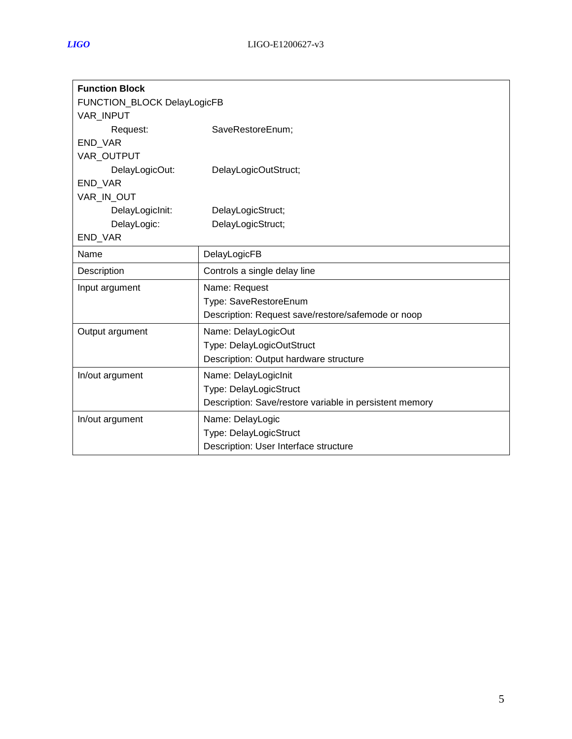| <b>Function Block</b>       |                                                         |  |
|-----------------------------|---------------------------------------------------------|--|
| FUNCTION_BLOCK DelayLogicFB |                                                         |  |
| <b>VAR INPUT</b>            |                                                         |  |
| Request:                    | SaveRestoreEnum;                                        |  |
| END_VAR                     |                                                         |  |
| VAR OUTPUT                  |                                                         |  |
| DelayLogicOut:              | DelayLogicOutStruct;                                    |  |
| END_VAR                     |                                                         |  |
| VAR_IN_OUT                  |                                                         |  |
| DelayLogicInit:             | DelayLogicStruct;                                       |  |
| DelayLogic:                 | DelayLogicStruct;                                       |  |
| END_VAR                     |                                                         |  |
| Name                        | DelayLogicFB                                            |  |
| Description                 | Controls a single delay line                            |  |
| Input argument              | Name: Request                                           |  |
|                             | Type: SaveRestoreEnum                                   |  |
|                             | Description: Request save/restore/safemode or noop      |  |
| Output argument             | Name: DelayLogicOut                                     |  |
|                             | Type: DelayLogicOutStruct                               |  |
|                             | Description: Output hardware structure                  |  |
| In/out argument             | Name: DelayLogicInit                                    |  |
|                             | Type: DelayLogicStruct                                  |  |
|                             | Description: Save/restore variable in persistent memory |  |
| In/out argument             | Name: DelayLogic                                        |  |
|                             | Type: DelayLogicStruct                                  |  |
|                             | Description: User Interface structure                   |  |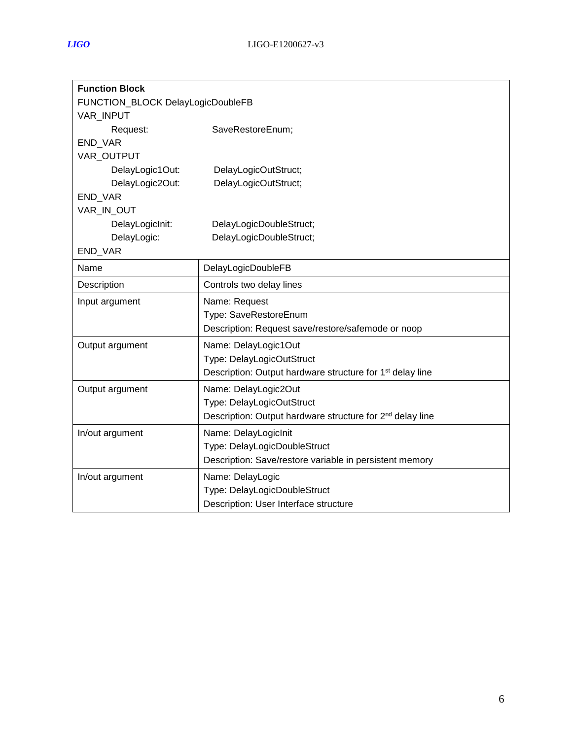| <b>Function Block</b>             |                                                                       |  |
|-----------------------------------|-----------------------------------------------------------------------|--|
| FUNCTION_BLOCK DelayLogicDoubleFB |                                                                       |  |
| <b>VAR INPUT</b>                  |                                                                       |  |
| Request:                          | SaveRestoreEnum;                                                      |  |
| <b>END VAR</b>                    |                                                                       |  |
| VAR_OUTPUT                        |                                                                       |  |
| DelayLogic1Out:                   | DelayLogicOutStruct;                                                  |  |
| DelayLogic2Out:                   | DelayLogicOutStruct;                                                  |  |
| END_VAR                           |                                                                       |  |
| VAR_IN_OUT                        |                                                                       |  |
| DelayLogicInit:                   | DelayLogicDoubleStruct;                                               |  |
| DelayLogic:                       | DelayLogicDoubleStruct;                                               |  |
| END_VAR                           |                                                                       |  |
| Name                              | DelayLogicDoubleFB                                                    |  |
| Description                       | Controls two delay lines                                              |  |
| Input argument                    | Name: Request                                                         |  |
|                                   | Type: SaveRestoreEnum                                                 |  |
|                                   | Description: Request save/restore/safemode or noop                    |  |
| Output argument                   | Name: DelayLogic1Out                                                  |  |
|                                   | Type: DelayLogicOutStruct                                             |  |
|                                   | Description: Output hardware structure for 1 <sup>st</sup> delay line |  |
| Output argument                   | Name: DelayLogic2Out                                                  |  |
|                                   | Type: DelayLogicOutStruct                                             |  |
|                                   | Description: Output hardware structure for 2 <sup>nd</sup> delay line |  |
| In/out argument                   | Name: DelayLogicInit                                                  |  |
|                                   | Type: DelayLogicDoubleStruct                                          |  |
|                                   | Description: Save/restore variable in persistent memory               |  |
| In/out argument                   | Name: DelayLogic                                                      |  |
|                                   | Type: DelayLogicDoubleStruct                                          |  |
|                                   | Description: User Interface structure                                 |  |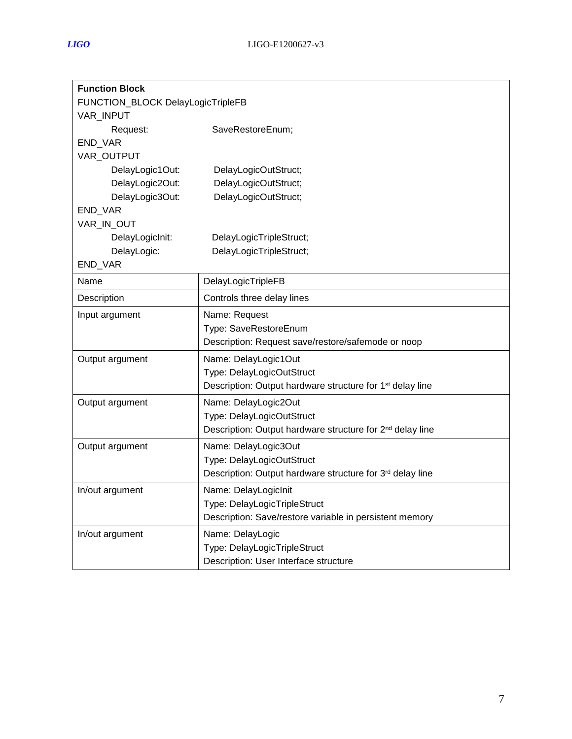| <b>Function Block</b>             |                                                                       |  |
|-----------------------------------|-----------------------------------------------------------------------|--|
| FUNCTION_BLOCK DelayLogicTripleFB |                                                                       |  |
| VAR_INPUT                         |                                                                       |  |
| Request:                          | SaveRestoreEnum;                                                      |  |
| END_VAR                           |                                                                       |  |
| VAR_OUTPUT                        |                                                                       |  |
| DelayLogic1Out:                   | DelayLogicOutStruct;                                                  |  |
| DelayLogic2Out:                   | DelayLogicOutStruct;                                                  |  |
| DelayLogic3Out:                   | DelayLogicOutStruct;                                                  |  |
| END_VAR                           |                                                                       |  |
| VAR_IN_OUT                        |                                                                       |  |
| DelayLogicInit:                   | DelayLogicTripleStruct;                                               |  |
| DelayLogic:                       | DelayLogicTripleStruct;                                               |  |
| END_VAR                           |                                                                       |  |
| Name                              | DelayLogicTripleFB                                                    |  |
| Description                       | Controls three delay lines                                            |  |
| Input argument                    | Name: Request                                                         |  |
|                                   | Type: SaveRestoreEnum                                                 |  |
|                                   | Description: Request save/restore/safemode or noop                    |  |
| Output argument                   | Name: DelayLogic1Out                                                  |  |
|                                   | Type: DelayLogicOutStruct                                             |  |
|                                   | Description: Output hardware structure for 1 <sup>st</sup> delay line |  |
| Output argument                   | Name: DelayLogic2Out                                                  |  |
|                                   | Type: DelayLogicOutStruct                                             |  |
|                                   | Description: Output hardware structure for 2 <sup>nd</sup> delay line |  |
| Output argument                   | Name: DelayLogic3Out                                                  |  |
|                                   | Type: DelayLogicOutStruct                                             |  |
|                                   | Description: Output hardware structure for 3rd delay line             |  |
| In/out argument                   | Name: DelayLogicInit                                                  |  |
|                                   | Type: DelayLogicTripleStruct                                          |  |
|                                   | Description: Save/restore variable in persistent memory               |  |
| In/out argument                   | Name: DelayLogic                                                      |  |
|                                   | Type: DelayLogicTripleStruct                                          |  |
|                                   | Description: User Interface structure                                 |  |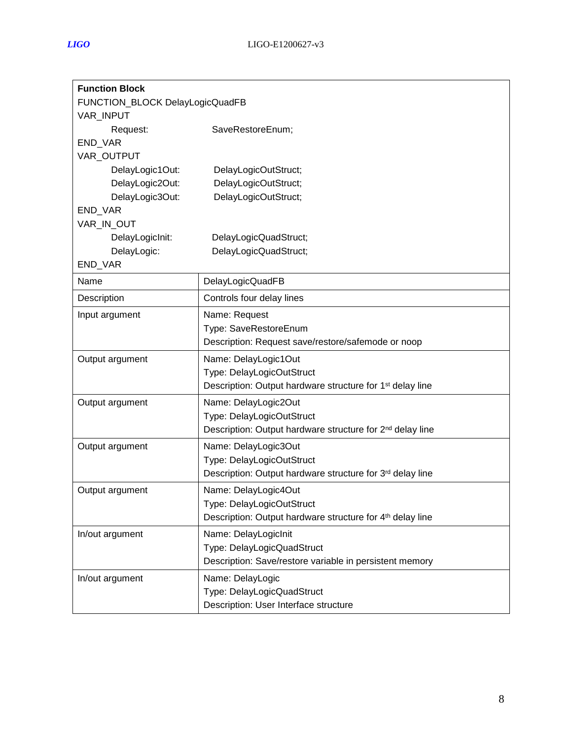| <b>Function Block</b>           |                                                                       |  |
|---------------------------------|-----------------------------------------------------------------------|--|
| FUNCTION_BLOCK DelayLogicQuadFB |                                                                       |  |
| VAR_INPUT                       |                                                                       |  |
| Request:                        | SaveRestoreEnum;                                                      |  |
| END_VAR                         |                                                                       |  |
| VAR_OUTPUT                      |                                                                       |  |
| DelayLogic1Out:                 | DelayLogicOutStruct;                                                  |  |
| DelayLogic2Out:                 | DelayLogicOutStruct;                                                  |  |
| DelayLogic3Out:                 | DelayLogicOutStruct;                                                  |  |
| END VAR                         |                                                                       |  |
| VAR_IN_OUT                      |                                                                       |  |
| DelayLogicInit:                 | DelayLogicQuadStruct;                                                 |  |
| DelayLogic:                     | DelayLogicQuadStruct;                                                 |  |
| END_VAR                         |                                                                       |  |
| Name                            | DelayLogicQuadFB                                                      |  |
| Description                     | Controls four delay lines                                             |  |
| Input argument                  | Name: Request                                                         |  |
|                                 | Type: SaveRestoreEnum                                                 |  |
|                                 | Description: Request save/restore/safemode or noop                    |  |
| Output argument                 | Name: DelayLogic1Out                                                  |  |
|                                 | Type: DelayLogicOutStruct                                             |  |
|                                 | Description: Output hardware structure for 1 <sup>st</sup> delay line |  |
| Output argument                 | Name: DelayLogic2Out                                                  |  |
|                                 | Type: DelayLogicOutStruct                                             |  |
|                                 | Description: Output hardware structure for 2 <sup>nd</sup> delay line |  |
| Output argument                 | Name: DelayLogic3Out                                                  |  |
|                                 | Type: DelayLogicOutStruct                                             |  |
|                                 | Description: Output hardware structure for 3rd delay line             |  |
| Output argument                 | Name: DelayLogic4Out                                                  |  |
|                                 | Type: DelayLogicOutStruct                                             |  |
|                                 | Description: Output hardware structure for 4 <sup>th</sup> delay line |  |
| In/out argument                 | Name: DelayLogicInit                                                  |  |
|                                 | Type: DelayLogicQuadStruct                                            |  |
|                                 | Description: Save/restore variable in persistent memory               |  |
| In/out argument                 | Name: DelayLogic                                                      |  |
|                                 | Type: DelayLogicQuadStruct                                            |  |
|                                 | Description: User Interface structure                                 |  |